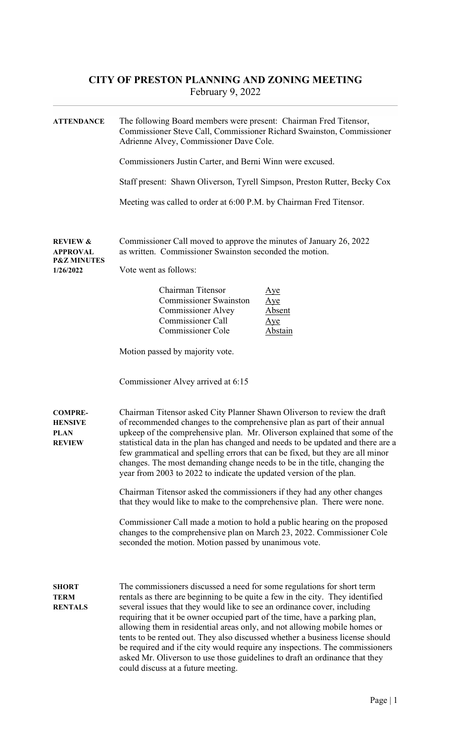## CITY OF PRESTON PLANNING AND ZONING MEETING February 9, 2022

| <b>ATTENDANCE</b>                                                             | The following Board members were present: Chairman Fred Titensor,<br>Commissioner Steve Call, Commissioner Richard Swainston, Commissioner<br>Adrienne Alvey, Commissioner Dave Cole.<br>Commissioners Justin Carter, and Berni Winn were excused.<br>Staff present: Shawn Oliverson, Tyrell Simpson, Preston Rutter, Becky Cox<br>Meeting was called to order at 6:00 P.M. by Chairman Fred Titensor.                                                                                                                                                                                                                                                                               |  |  |
|-------------------------------------------------------------------------------|--------------------------------------------------------------------------------------------------------------------------------------------------------------------------------------------------------------------------------------------------------------------------------------------------------------------------------------------------------------------------------------------------------------------------------------------------------------------------------------------------------------------------------------------------------------------------------------------------------------------------------------------------------------------------------------|--|--|
|                                                                               |                                                                                                                                                                                                                                                                                                                                                                                                                                                                                                                                                                                                                                                                                      |  |  |
| <b>REVIEW &amp;</b><br><b>APPROVAL</b><br><b>P&amp;Z MINUTES</b><br>1/26/2022 | Commissioner Call moved to approve the minutes of January 26, 2022<br>as written. Commissioner Swainston seconded the motion.<br>Vote went as follows:                                                                                                                                                                                                                                                                                                                                                                                                                                                                                                                               |  |  |
|                                                                               | Chairman Titensor<br>Aye<br><b>Commissioner Swainston</b><br>Aye<br><b>Commissioner Alvey</b><br><b>Absent</b><br><b>Commissioner Call</b><br>Aye<br><b>Commissioner Cole</b><br><b>Abstain</b>                                                                                                                                                                                                                                                                                                                                                                                                                                                                                      |  |  |
|                                                                               | Motion passed by majority vote.                                                                                                                                                                                                                                                                                                                                                                                                                                                                                                                                                                                                                                                      |  |  |
|                                                                               | Commissioner Alvey arrived at 6:15                                                                                                                                                                                                                                                                                                                                                                                                                                                                                                                                                                                                                                                   |  |  |
| <b>COMPRE-</b><br><b>HENSIVE</b><br><b>PLAN</b><br><b>REVIEW</b>              | Chairman Titensor asked City Planner Shawn Oliverson to review the draft<br>of recommended changes to the comprehensive plan as part of their annual<br>upkeep of the comprehensive plan. Mr. Oliverson explained that some of the<br>statistical data in the plan has changed and needs to be updated and there are a<br>few grammatical and spelling errors that can be fixed, but they are all minor<br>changes. The most demanding change needs to be in the title, changing the<br>year from 2003 to 2022 to indicate the updated version of the plan.                                                                                                                          |  |  |
|                                                                               | Chairman Titensor asked the commissioners if they had any other changes<br>that they would like to make to the comprehensive plan. There were none.                                                                                                                                                                                                                                                                                                                                                                                                                                                                                                                                  |  |  |
|                                                                               | Commissioner Call made a motion to hold a public hearing on the proposed<br>changes to the comprehensive plan on March 23, 2022. Commissioner Cole<br>seconded the motion. Motion passed by unanimous vote.                                                                                                                                                                                                                                                                                                                                                                                                                                                                          |  |  |
| <b>SHORT</b><br><b>TERM</b><br><b>RENTALS</b>                                 | The commissioners discussed a need for some regulations for short term<br>rentals as there are beginning to be quite a few in the city. They identified<br>several issues that they would like to see an ordinance cover, including<br>requiring that it be owner occupied part of the time, have a parking plan,<br>allowing them in residential areas only, and not allowing mobile homes or<br>tents to be rented out. They also discussed whether a business license should<br>be required and if the city would require any inspections. The commissioners<br>asked Mr. Oliverson to use those guidelines to draft an ordinance that they<br>could discuss at a future meeting. |  |  |